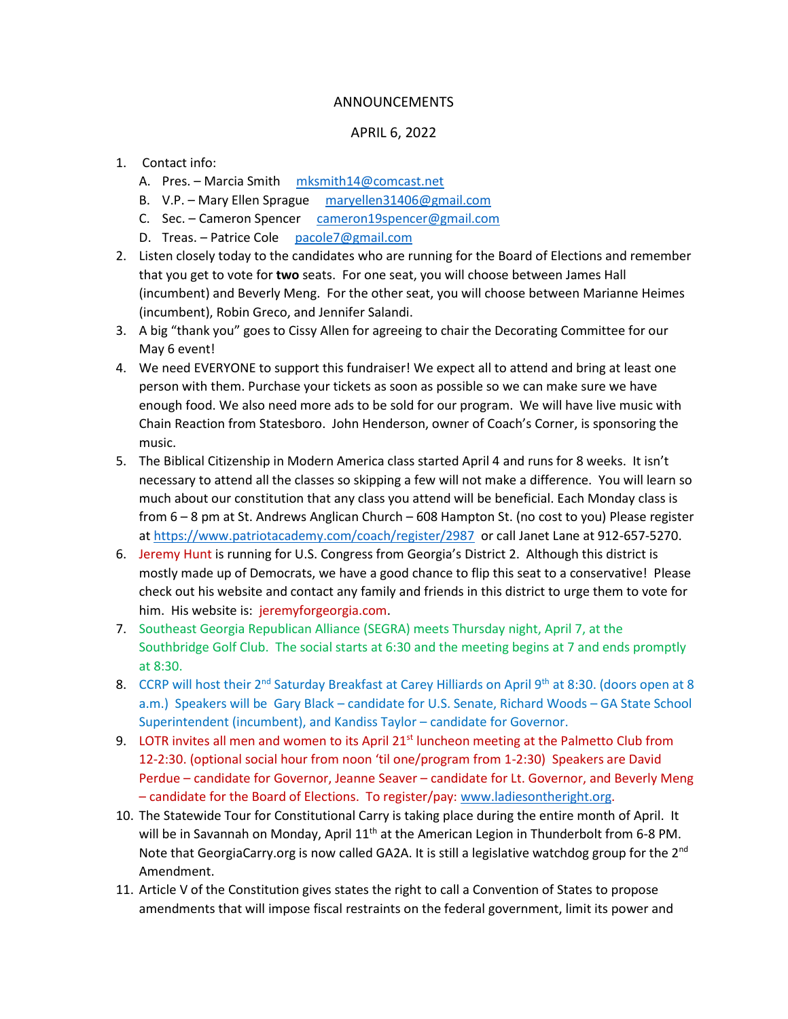## ANNOUNCEMENTS

## APRIL 6, 2022

- 1. Contact info:
	- A. Pres. Marcia Smith [mksmith14@comcast.net](mailto:mksmith14@comcast.net)
	- B. V.P. Mary Ellen Sprague [maryellen31406@gmail.com](mailto:maryellen31406@gmail.com)
	- C. Sec. Cameron Spencer [cameron19spencer@gmail.com](mailto:cameron19spencer@gmail.com)
	- D. Treas. Patrice Cole [pacole7@gmail.com](mailto:pacole7@gmail.com)
- 2. Listen closely today to the candidates who are running for the Board of Elections and remember that you get to vote for **two** seats. For one seat, you will choose between James Hall (incumbent) and Beverly Meng. For the other seat, you will choose between Marianne Heimes (incumbent), Robin Greco, and Jennifer Salandi.
- 3. A big "thank you" goes to Cissy Allen for agreeing to chair the Decorating Committee for our May 6 event!
- 4. We need EVERYONE to support this fundraiser! We expect all to attend and bring at least one person with them. Purchase your tickets as soon as possible so we can make sure we have enough food. We also need more ads to be sold for our program. We will have live music with Chain Reaction from Statesboro. John Henderson, owner of Coach's Corner, is sponsoring the music.
- 5. The Biblical Citizenship in Modern America class started April 4 and runs for 8 weeks. It isn't necessary to attend all the classes so skipping a few will not make a difference. You will learn so much about our constitution that any class you attend will be beneficial. Each Monday class is from 6 – 8 pm at St. Andrews Anglican Church – 608 Hampton St. (no cost to you) Please register a[t https://www.patriotacademy.com/coach/register/2987](https://www.patriotacademy.com/coach/register/2987) or call Janet Lane at 912-657-5270.
- 6. Jeremy Hunt is running for U.S. Congress from Georgia's District 2. Although this district is mostly made up of Democrats, we have a good chance to flip this seat to a conservative! Please check out his website and contact any family and friends in this district to urge them to vote for him. His website is: jeremyforgeorgia.com.
- 7. Southeast Georgia Republican Alliance (SEGRA) meets Thursday night, April 7, at the Southbridge Golf Club. The social starts at 6:30 and the meeting begins at 7 and ends promptly at 8:30.
- 8. CCRP will host their 2<sup>nd</sup> Saturday Breakfast at Carey Hilliards on April 9<sup>th</sup> at 8:30. (doors open at 8 a.m.) Speakers will be Gary Black – candidate for U.S. Senate, Richard Woods – GA State School Superintendent (incumbent), and Kandiss Taylor – candidate for Governor.
- 9. LOTR invites all men and women to its April  $21^{st}$  luncheon meeting at the Palmetto Club from 12-2:30. (optional social hour from noon 'til one/program from 1-2:30) Speakers are David Perdue – candidate for Governor, Jeanne Seaver – candidate for Lt. Governor, and Beverly Meng – candidate for the Board of Elections. To register/pay: [www.ladiesontheright.org.](http://www.ladiesontheright.org/)
- 10. The Statewide Tour for Constitutional Carry is taking place during the entire month of April. It will be in Savannah on Monday, April  $11<sup>th</sup>$  at the American Legion in Thunderbolt from 6-8 PM. Note that GeorgiaCarry.org is now called GA2A. It is still a legislative watchdog group for the 2<sup>nd</sup> Amendment.
- 11. Article V of the Constitution gives states the right to call a Convention of States to propose amendments that will impose fiscal restraints on the federal government, limit its power and